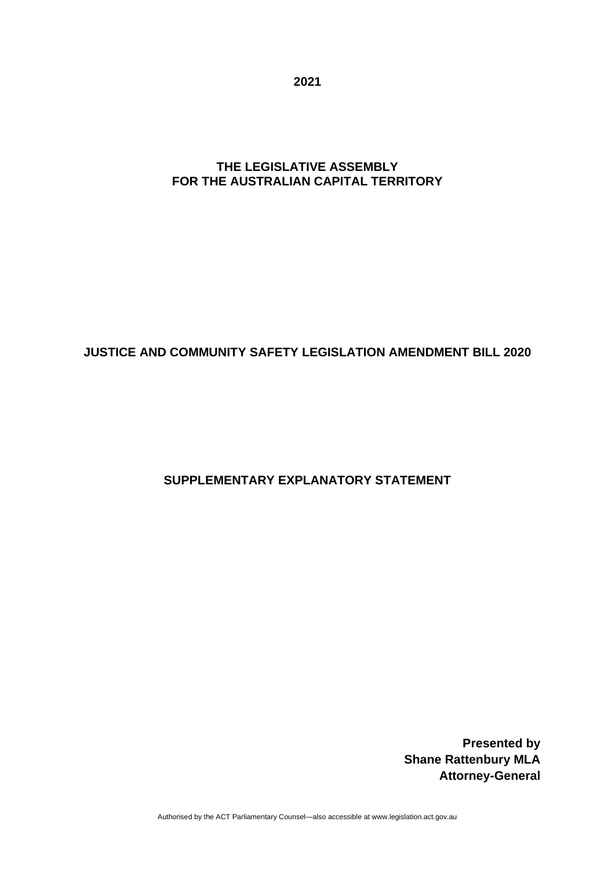**2021**

### **THE LEGISLATIVE ASSEMBLY FOR THE AUSTRALIAN CAPITAL TERRITORY**

# **JUSTICE AND COMMUNITY SAFETY LEGISLATION AMENDMENT BILL 2020**

# **SUPPLEMENTARY EXPLANATORY STATEMENT**

**Presented by Shane Rattenbury MLA Attorney-General**

Authorised by the ACT Parliamentary Counsel—also accessible at www.legislation.act.gov.au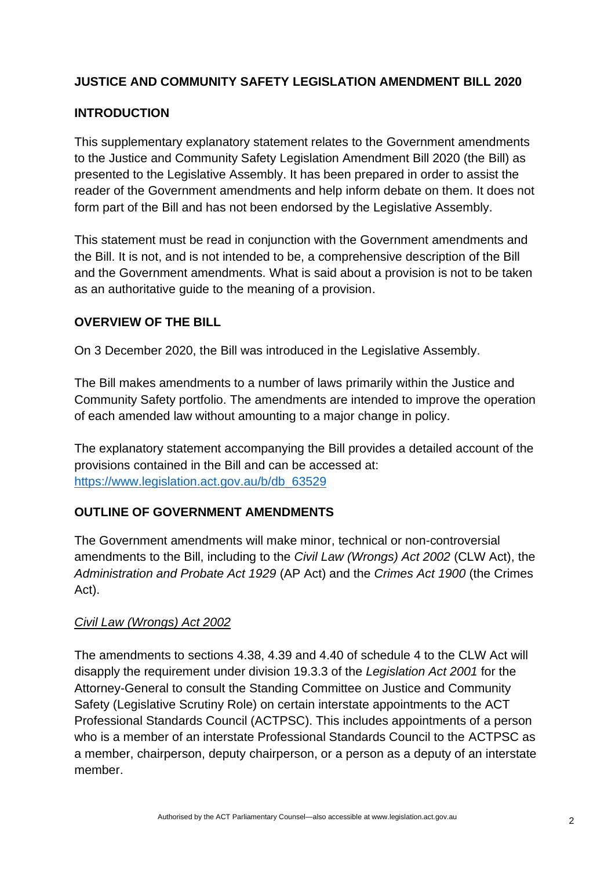# **JUSTICE AND COMMUNITY SAFETY LEGISLATION AMENDMENT BILL 2020**

## **INTRODUCTION**

This supplementary explanatory statement relates to the Government amendments to the Justice and Community Safety Legislation Amendment Bill 2020 (the Bill) as presented to the Legislative Assembly. It has been prepared in order to assist the reader of the Government amendments and help inform debate on them. It does not form part of the Bill and has not been endorsed by the Legislative Assembly.

This statement must be read in conjunction with the Government amendments and the Bill. It is not, and is not intended to be, a comprehensive description of the Bill and the Government amendments. What is said about a provision is not to be taken as an authoritative guide to the meaning of a provision.

## **OVERVIEW OF THE BILL**

On 3 December 2020, the Bill was introduced in the Legislative Assembly.

The Bill makes amendments to a number of laws primarily within the Justice and Community Safety portfolio. The amendments are intended to improve the operation of each amended law without amounting to a major change in policy.

The explanatory statement accompanying the Bill provides a detailed account of the provisions contained in the Bill and can be accessed at: [https://www.legislation.act.gov.au/b/db\\_63529](https://www.legislation.act.gov.au/b/db_63529)

#### **OUTLINE OF GOVERNMENT AMENDMENTS**

The Government amendments will make minor, technical or non-controversial amendments to the Bill, including to the *Civil Law (Wrongs) Act 2002* (CLW Act), the *Administration and Probate Act 1929* (AP Act) and the *Crimes Act 1900* (the Crimes Act).

#### *Civil Law (Wrongs) Act 2002*

The amendments to sections 4.38, 4.39 and 4.40 of schedule 4 to the CLW Act will disapply the requirement under division 19.3.3 of the *Legislation Act 2001* for the Attorney-General to consult the Standing Committee on Justice and Community Safety (Legislative Scrutiny Role) on certain interstate appointments to the ACT Professional Standards Council (ACTPSC). This includes appointments of a person who is a member of an interstate Professional Standards Council to the ACTPSC as a member, chairperson, deputy chairperson, or a person as a deputy of an interstate member.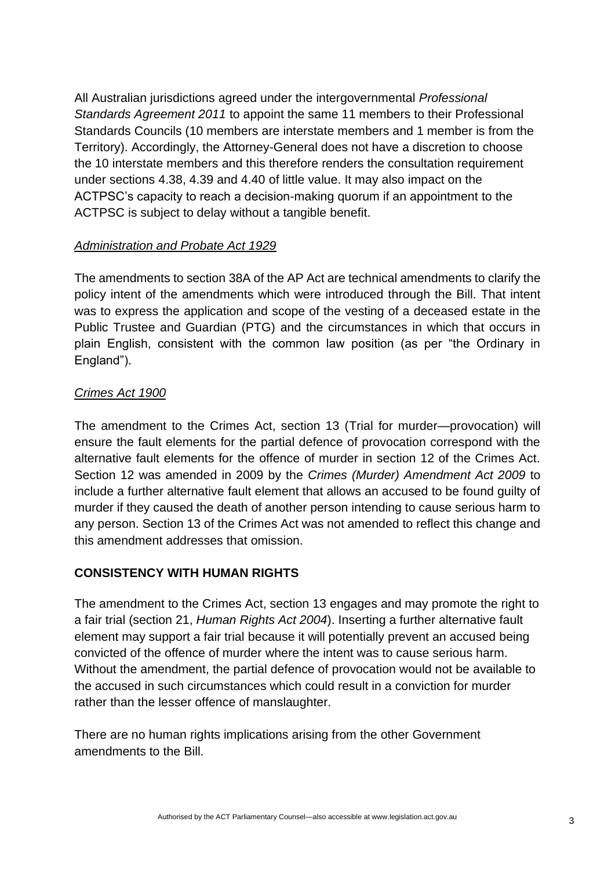All Australian jurisdictions agreed under the intergovernmental *Professional Standards Agreement 2011* to appoint the same 11 members to their Professional Standards Councils (10 members are interstate members and 1 member is from the Territory). Accordingly, the Attorney-General does not have a discretion to choose the 10 interstate members and this therefore renders the consultation requirement under sections 4.38, 4.39 and 4.40 of little value. It may also impact on the ACTPSC's capacity to reach a decision-making quorum if an appointment to the ACTPSC is subject to delay without a tangible benefit.

### *Administration and Probate Act 1929*

The amendments to section 38A of the AP Act are technical amendments to clarify the policy intent of the amendments which were introduced through the Bill. That intent was to express the application and scope of the vesting of a deceased estate in the Public Trustee and Guardian (PTG) and the circumstances in which that occurs in plain English, consistent with the common law position (as per "the Ordinary in England").

### *Crimes Act 1900*

The amendment to the Crimes Act, section 13 (Trial for murder—provocation) will ensure the fault elements for the partial defence of provocation correspond with the alternative fault elements for the offence of murder in section 12 of the Crimes Act. Section 12 was amended in 2009 by the *Crimes (Murder) Amendment Act 2009* to include a further alternative fault element that allows an accused to be found guilty of murder if they caused the death of another person intending to cause serious harm to any person. Section 13 of the Crimes Act was not amended to reflect this change and this amendment addresses that omission.

## **CONSISTENCY WITH HUMAN RIGHTS**

The amendment to the Crimes Act, section 13 engages and may promote the right to a fair trial (section 21, *Human Rights Act 2004*). Inserting a further alternative fault element may support a fair trial because it will potentially prevent an accused being convicted of the offence of murder where the intent was to cause serious harm. Without the amendment, the partial defence of provocation would not be available to the accused in such circumstances which could result in a conviction for murder rather than the lesser offence of manslaughter.

There are no human rights implications arising from the other Government amendments to the Bill.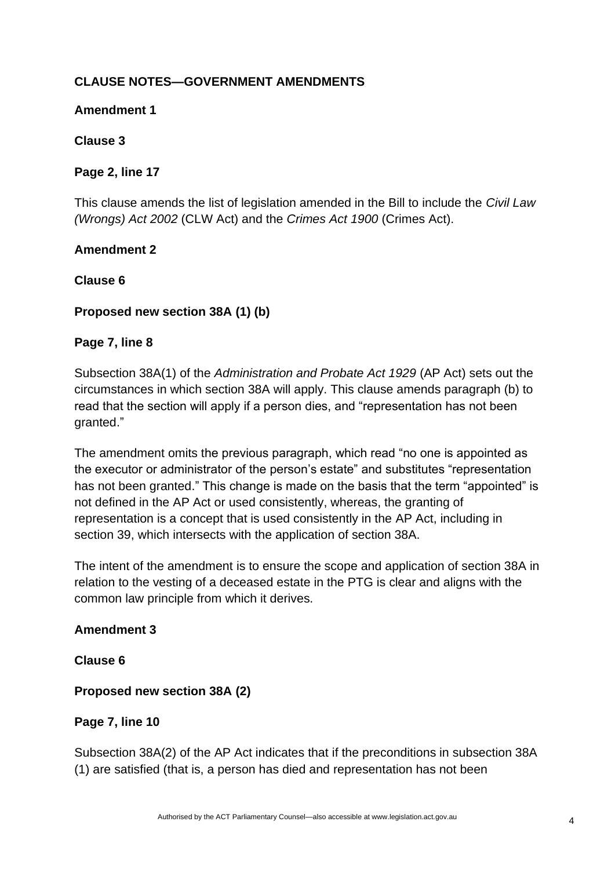# **CLAUSE NOTES—GOVERNMENT AMENDMENTS**

#### **Amendment 1**

### **Clause 3**

### **Page 2, line 17**

This clause amends the list of legislation amended in the Bill to include the *Civil Law (Wrongs) Act 2002* (CLW Act) and the *Crimes Act 1900* (Crimes Act).

### **Amendment 2**

### **Clause 6**

## **Proposed new section 38A (1) (b)**

### **Page 7, line 8**

Subsection 38A(1) of the *Administration and Probate Act 1929* (AP Act) sets out the circumstances in which section 38A will apply. This clause amends paragraph (b) to read that the section will apply if a person dies, and "representation has not been granted."

The amendment omits the previous paragraph, which read "no one is appointed as the executor or administrator of the person's estate" and substitutes "representation has not been granted." This change is made on the basis that the term "appointed" is not defined in the AP Act or used consistently, whereas, the granting of representation is a concept that is used consistently in the AP Act, including in section 39, which intersects with the application of section 38A.

The intent of the amendment is to ensure the scope and application of section 38A in relation to the vesting of a deceased estate in the PTG is clear and aligns with the common law principle from which it derives.

#### **Amendment 3**

**Clause 6**

## **Proposed new section 38A (2)**

## **Page 7, line 10**

Subsection 38A(2) of the AP Act indicates that if the preconditions in subsection 38A (1) are satisfied (that is, a person has died and representation has not been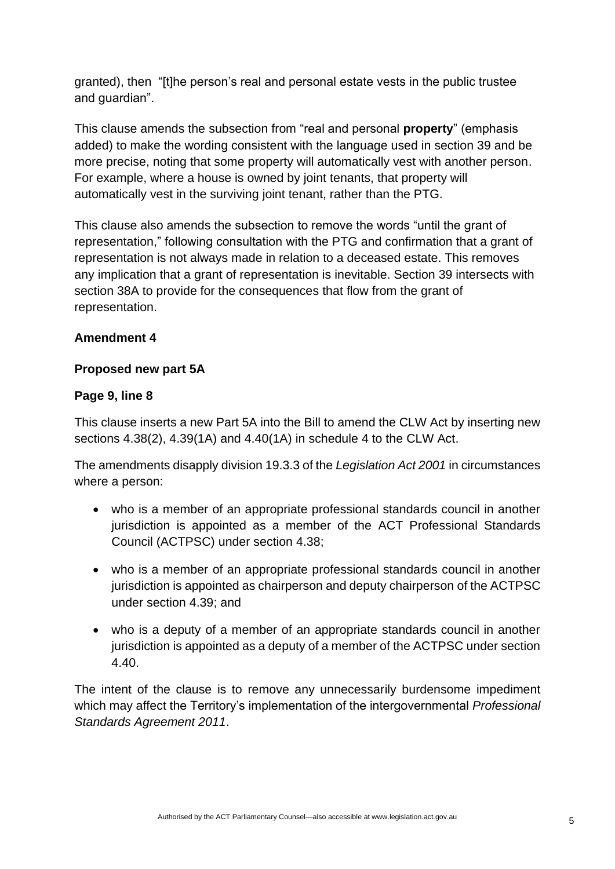granted), then "[t]he person's real and personal estate vests in the public trustee and guardian".

This clause amends the subsection from "real and personal **property**" (emphasis added) to make the wording consistent with the language used in section 39 and be more precise, noting that some property will automatically vest with another person. For example, where a house is owned by joint tenants, that property will automatically vest in the surviving joint tenant, rather than the PTG.

This clause also amends the subsection to remove the words "until the grant of representation," following consultation with the PTG and confirmation that a grant of representation is not always made in relation to a deceased estate. This removes any implication that a grant of representation is inevitable. Section 39 intersects with section 38A to provide for the consequences that flow from the grant of representation.

## **Amendment 4**

### **Proposed new part 5A**

### **Page 9, line 8**

This clause inserts a new Part 5A into the Bill to amend the CLW Act by inserting new sections 4.38(2), 4.39(1A) and 4.40(1A) in schedule 4 to the CLW Act.

The amendments disapply division 19.3.3 of the *Legislation Act 2001* in circumstances where a person:

- who is a member of an appropriate professional standards council in another jurisdiction is appointed as a member of the ACT Professional Standards Council (ACTPSC) under section 4.38;
- who is a member of an appropriate professional standards council in another jurisdiction is appointed as chairperson and deputy chairperson of the ACTPSC under section 4.39; and
- who is a deputy of a member of an appropriate standards council in another jurisdiction is appointed as a deputy of a member of the ACTPSC under section 4.40.

The intent of the clause is to remove any unnecessarily burdensome impediment which may affect the Territory's implementation of the intergovernmental *Professional Standards Agreement 2011*.